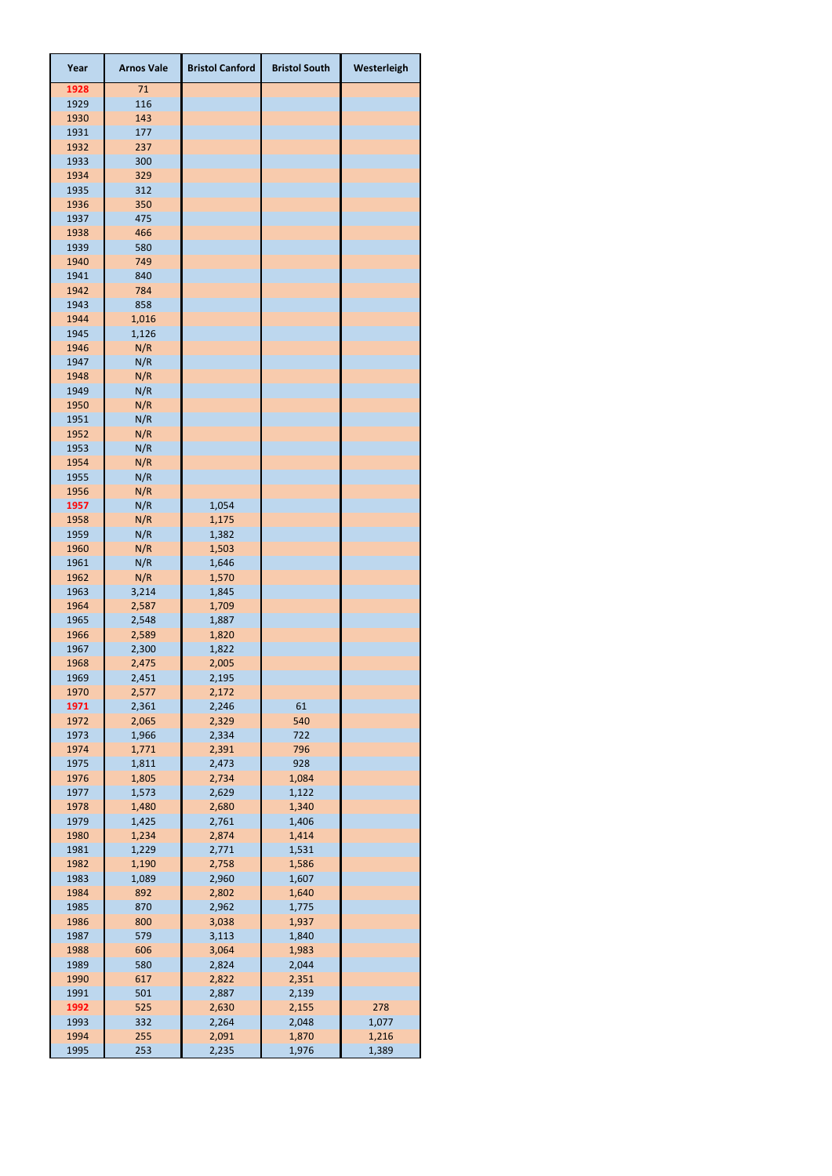| Year         | <b>Arnos Vale</b> | <b>Bristol Canford</b> | <b>Bristol South</b> | Westerleigh    |
|--------------|-------------------|------------------------|----------------------|----------------|
| 1928         | 71                |                        |                      |                |
| 1929         | 116               |                        |                      |                |
| 1930         | 143               |                        |                      |                |
| 1931         | 177               |                        |                      |                |
| 1932<br>1933 | 237               |                        |                      |                |
| 1934         | 300<br>329        |                        |                      |                |
| 1935         | 312               |                        |                      |                |
| 1936         | 350               |                        |                      |                |
| 1937         | 475               |                        |                      |                |
| 1938         | 466               |                        |                      |                |
| 1939         | 580               |                        |                      |                |
| 1940         | 749               |                        |                      |                |
| 1941         | 840               |                        |                      |                |
| 1942<br>1943 | 784<br>858        |                        |                      |                |
| 1944         | 1,016             |                        |                      |                |
| 1945         | 1,126             |                        |                      |                |
| 1946         | N/R               |                        |                      |                |
| 1947         | N/R               |                        |                      |                |
| 1948         | N/R               |                        |                      |                |
| 1949         | N/R               |                        |                      |                |
| 1950         | N/R               |                        |                      |                |
| 1951<br>1952 | N/R<br>N/R        |                        |                      |                |
| 1953         | N/R               |                        |                      |                |
| 1954         | N/R               |                        |                      |                |
| 1955         | N/R               |                        |                      |                |
| 1956         | N/R               |                        |                      |                |
| 1957         | N/R               | 1,054                  |                      |                |
| 1958         | N/R               | 1,175                  |                      |                |
| 1959<br>1960 | N/R<br>N/R        | 1,382                  |                      |                |
| 1961         | N/R               | 1,503<br>1,646         |                      |                |
| 1962         | N/R               | 1,570                  |                      |                |
| 1963         | 3,214             | 1,845                  |                      |                |
| 1964         | 2,587             | 1,709                  |                      |                |
| 1965         | 2,548             | 1,887                  |                      |                |
| 1966         | 2,589             | 1,820                  |                      |                |
| 1967         | 2,300             | 1,822                  |                      |                |
| 1968<br>1969 | 2,475<br>2,451    | 2,005<br>2,195         |                      |                |
| 1970         | 2,577             | 2,172                  |                      |                |
| 1971         | 2,361             | 2,246                  | 61                   |                |
| 1972         | 2,065             | 2,329                  | 540                  |                |
| 1973         | 1,966             | 2,334                  | 722                  |                |
| 1974         | 1,771             | 2,391                  | 796                  |                |
| 1975         | 1,811             | 2,473                  | 928                  |                |
| 1976<br>1977 | 1,805<br>1,573    | 2,734<br>2,629         | 1,084<br>1,122       |                |
| 1978         | 1,480             | 2,680                  | 1,340                |                |
| 1979         | 1,425             | 2,761                  | 1,406                |                |
| 1980         | 1,234             | 2,874                  | 1,414                |                |
| 1981         | 1,229             | 2,771                  | 1,531                |                |
| 1982         | 1,190             | 2,758                  | 1,586                |                |
| 1983         | 1,089             | 2,960                  | 1,607                |                |
| 1984         | 892               | 2,802                  | 1,640                |                |
| 1985<br>1986 | 870<br>800        | 2,962<br>3,038         | 1,775<br>1,937       |                |
| 1987         | 579               | 3,113                  | 1,840                |                |
| 1988         | 606               | 3,064                  | 1,983                |                |
| 1989         | 580               | 2,824                  | 2,044                |                |
| 1990         | 617               | 2,822                  | 2,351                |                |
| 1991         | 501               | 2,887                  | 2,139                |                |
| 1992         | 525               | 2,630                  | 2,155                | 278            |
| 1993         | 332               | 2,264                  | 2,048                | 1,077          |
| 1994<br>1995 | 255<br>253        | 2,091<br>2,235         | 1,870<br>1,976       | 1,216<br>1,389 |
|              |                   |                        |                      |                |